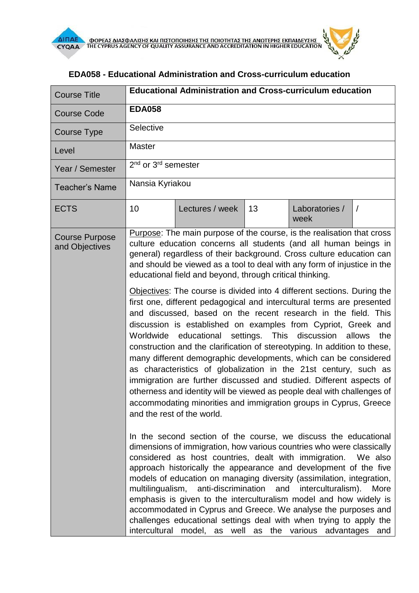

|               |                 |                                                                                                           | <b>Educational Administration and Cross-curriculum education</b> |                                                                                                                                                                                                                                                                                                                                                                                                                                                                                                                                                                                                                                                                                                                                                                                                                                                                                                                                                                                                                                                                                                                                                                                                                                                                                                                                                                                                                                                                                                                                                                                                                                                                                                                                                                          |
|---------------|-----------------|-----------------------------------------------------------------------------------------------------------|------------------------------------------------------------------|--------------------------------------------------------------------------------------------------------------------------------------------------------------------------------------------------------------------------------------------------------------------------------------------------------------------------------------------------------------------------------------------------------------------------------------------------------------------------------------------------------------------------------------------------------------------------------------------------------------------------------------------------------------------------------------------------------------------------------------------------------------------------------------------------------------------------------------------------------------------------------------------------------------------------------------------------------------------------------------------------------------------------------------------------------------------------------------------------------------------------------------------------------------------------------------------------------------------------------------------------------------------------------------------------------------------------------------------------------------------------------------------------------------------------------------------------------------------------------------------------------------------------------------------------------------------------------------------------------------------------------------------------------------------------------------------------------------------------------------------------------------------------|
| <b>EDA058</b> |                 |                                                                                                           |                                                                  |                                                                                                                                                                                                                                                                                                                                                                                                                                                                                                                                                                                                                                                                                                                                                                                                                                                                                                                                                                                                                                                                                                                                                                                                                                                                                                                                                                                                                                                                                                                                                                                                                                                                                                                                                                          |
| Selective     |                 |                                                                                                           |                                                                  |                                                                                                                                                                                                                                                                                                                                                                                                                                                                                                                                                                                                                                                                                                                                                                                                                                                                                                                                                                                                                                                                                                                                                                                                                                                                                                                                                                                                                                                                                                                                                                                                                                                                                                                                                                          |
| <b>Master</b> |                 |                                                                                                           |                                                                  |                                                                                                                                                                                                                                                                                                                                                                                                                                                                                                                                                                                                                                                                                                                                                                                                                                                                                                                                                                                                                                                                                                                                                                                                                                                                                                                                                                                                                                                                                                                                                                                                                                                                                                                                                                          |
|               |                 |                                                                                                           |                                                                  |                                                                                                                                                                                                                                                                                                                                                                                                                                                                                                                                                                                                                                                                                                                                                                                                                                                                                                                                                                                                                                                                                                                                                                                                                                                                                                                                                                                                                                                                                                                                                                                                                                                                                                                                                                          |
|               |                 |                                                                                                           |                                                                  |                                                                                                                                                                                                                                                                                                                                                                                                                                                                                                                                                                                                                                                                                                                                                                                                                                                                                                                                                                                                                                                                                                                                                                                                                                                                                                                                                                                                                                                                                                                                                                                                                                                                                                                                                                          |
| 10            | Lectures / week | 13                                                                                                        | Laboratories /<br>week                                           | $\sqrt{ }$                                                                                                                                                                                                                                                                                                                                                                                                                                                                                                                                                                                                                                                                                                                                                                                                                                                                                                                                                                                                                                                                                                                                                                                                                                                                                                                                                                                                                                                                                                                                                                                                                                                                                                                                                               |
|               |                 |                                                                                                           |                                                                  |                                                                                                                                                                                                                                                                                                                                                                                                                                                                                                                                                                                                                                                                                                                                                                                                                                                                                                                                                                                                                                                                                                                                                                                                                                                                                                                                                                                                                                                                                                                                                                                                                                                                                                                                                                          |
|               |                 |                                                                                                           | interculturalism).                                               | the<br>More                                                                                                                                                                                                                                                                                                                                                                                                                                                                                                                                                                                                                                                                                                                                                                                                                                                                                                                                                                                                                                                                                                                                                                                                                                                                                                                                                                                                                                                                                                                                                                                                                                                                                                                                                              |
|               |                 | 2 <sup>nd</sup> or 3 <sup>rd</sup> semester<br>Nansia Kyriakou<br>Worldwide<br>and the rest of the world. |                                                                  | <b>Purpose:</b> The main purpose of the course, is the realisation that cross<br>culture education concerns all students (and all human beings in<br>general) regardless of their background. Cross culture education can<br>and should be viewed as a tool to deal with any form of injustice in the<br>educational field and beyond, through critical thinking.<br>Objectives: The course is divided into 4 different sections. During the<br>first one, different pedagogical and intercultural terms are presented<br>and discussed, based on the recent research in the field. This<br>discussion is established on examples from Cypriot, Greek and<br>educational settings. This discussion allows<br>construction and the clarification of stereotyping. In addition to these,<br>many different demographic developments, which can be considered<br>as characteristics of globalization in the 21st century, such as<br>immigration are further discussed and studied. Different aspects of<br>otherness and identity will be viewed as people deal with challenges of<br>accommodating minorities and immigration groups in Cyprus, Greece<br>In the second section of the course, we discuss the educational<br>dimensions of immigration, how various countries who were classically<br>considered as host countries, dealt with immigration. We also<br>approach historically the appearance and development of the five<br>models of education on managing diversity (assimilation, integration,<br>multilingualism, anti-discrimination and<br>emphasis is given to the interculturalism model and how widely is<br>accommodated in Cyprus and Greece. We analyse the purposes and<br>challenges educational settings deal with when trying to apply the |

## **EDA058 - Educational Administration and Cross-curriculum education**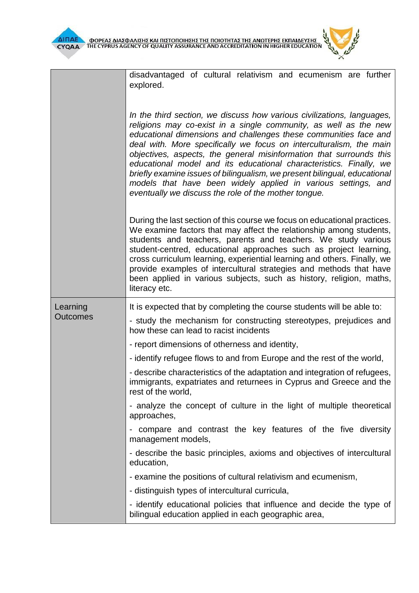disadvantaged of cultural relativism and ecumenism are further explored.

*In the third section, we discuss how various civilizations, languages, religions may co-exist in a single community, as well as the new educational dimensions and challenges these communities face and deal with. More specifically we focus on interculturalism, the main objectives, aspects, the general misinformation that surrounds this educational model and its educational characteristics. Finally, we briefly examine issues of bilingualism, we present bilingual, educational models that have been widely applied in various settings, and eventually we discuss the role of the mother tongue.* 

During the last section of this course we focus on educational practices. We examine factors that may affect the relationship among students, students and teachers, parents and teachers. We study various student-centred, educational approaches such as project learning, cross curriculum learning, experiential learning and others. Finally, we provide examples of intercultural strategies and methods that have been applied in various subjects, such as history, religion, maths, literacy etc.

|                             | 110100, 000                                                                                                                                                           |
|-----------------------------|-----------------------------------------------------------------------------------------------------------------------------------------------------------------------|
| Learning<br><b>Outcomes</b> | It is expected that by completing the course students will be able to:                                                                                                |
|                             | - study the mechanism for constructing stereotypes, prejudices and<br>how these can lead to racist incidents                                                          |
|                             | - report dimensions of otherness and identity,                                                                                                                        |
|                             | - identify refugee flows to and from Europe and the rest of the world,                                                                                                |
|                             | - describe characteristics of the adaptation and integration of refugees,<br>immigrants, expatriates and returnees in Cyprus and Greece and the<br>rest of the world, |
|                             | - analyze the concept of culture in the light of multiple theoretical<br>approaches,                                                                                  |
|                             | compare and contrast the key features of the five diversity<br>management models,                                                                                     |
|                             | - describe the basic principles, axioms and objectives of intercultural<br>education,                                                                                 |
|                             | - examine the positions of cultural relativism and ecumenism,                                                                                                         |
|                             | - distinguish types of intercultural curricula,                                                                                                                       |
|                             | - identify educational policies that influence and decide the type of<br>bilingual education applied in each geographic area,                                         |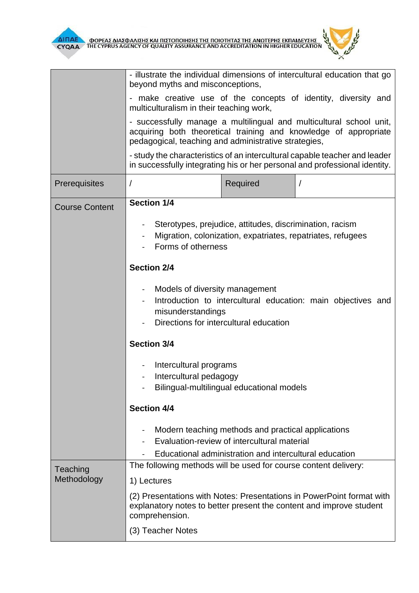

|                         | - illustrate the individual dimensions of intercultural education that go<br>beyond myths and misconceptions,                                                                                   |  |  |  |
|-------------------------|-------------------------------------------------------------------------------------------------------------------------------------------------------------------------------------------------|--|--|--|
|                         | - make creative use of the concepts of identity, diversity and<br>multiculturalism in their teaching work,                                                                                      |  |  |  |
|                         | - successfully manage a multilingual and multicultural school unit,<br>acquiring both theoretical training and knowledge of appropriate<br>pedagogical, teaching and administrative strategies, |  |  |  |
|                         | - study the characteristics of an intercultural capable teacher and leader<br>in successfully integrating his or her personal and professional identity.                                        |  |  |  |
| Prerequisites           | Required                                                                                                                                                                                        |  |  |  |
| <b>Course Content</b>   | <b>Section 1/4</b>                                                                                                                                                                              |  |  |  |
|                         | Sterotypes, prejudice, attitudes, discrimination, racism<br>Migration, colonization, expatriates, repatriates, refugees<br>Forms of otherness                                                   |  |  |  |
|                         | <b>Section 2/4</b>                                                                                                                                                                              |  |  |  |
|                         | Models of diversity management<br>Introduction to intercultural education: main objectives and<br>misunderstandings<br>Directions for intercultural education                                   |  |  |  |
|                         | <b>Section 3/4</b>                                                                                                                                                                              |  |  |  |
|                         | Intercultural programs<br>Intercultural pedagogy<br>Bilingual-multilingual educational models                                                                                                   |  |  |  |
|                         | <b>Section 4/4</b>                                                                                                                                                                              |  |  |  |
|                         | Modern teaching methods and practical applications<br>Evaluation-review of intercultural material                                                                                               |  |  |  |
|                         | Educational administration and intercultural education<br>The following methods will be used for course content delivery:                                                                       |  |  |  |
| Teaching<br>Methodology | 1) Lectures                                                                                                                                                                                     |  |  |  |
|                         | (2) Presentations with Notes: Presentations in PowerPoint format with<br>explanatory notes to better present the content and improve student<br>comprehension.                                  |  |  |  |
|                         | (3) Teacher Notes                                                                                                                                                                               |  |  |  |